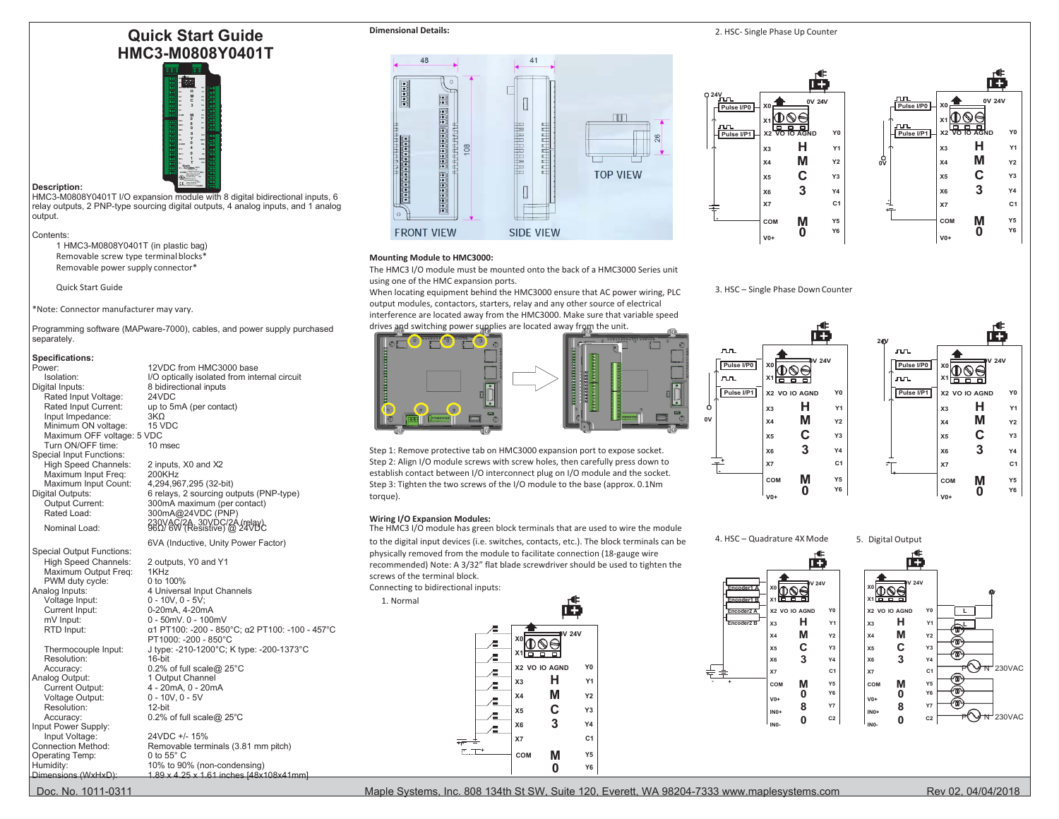# **Quick Start Guide HMC3-M0808Y0401T**



**Description:** HMC3-M0808Y0401T I/O expansion module with 8 digital bidirectional inputs, 6 relay outputs, 2 PNP-type sourcing digital outputs, 4 analog inputs, and 1 analog output.

## Contents:

1 HMC3-M0808Y0401T (in plastic bag) Removable screw type terminal blocks\* Removable power supply connector\*

Quick Start Guide

\*Note: Connector manufacturer may vary.

Programming software (MAPware-7000), cables, and power supply purchased separately.

| Specifications:<br>Power:<br>Isolation:<br>Digital Inputs:<br>Rated Input Voltage:<br>Rated Input Current:<br>Input Impedance:<br>Minimum ON voltage:<br>Maximum OFF voltage: 5 VDC<br>Turn ON/OFF time:<br>Special Input Functions:<br>High Speed Channels: | 12VDC from HMC3000 base<br>I/O optically isolated from internal circuit<br>8 bidirectional inputs<br>24VDC<br>up to 5mA (per contact)<br>$3K\Omega$<br>15 VDC<br>10 msec<br>2 inputs, X0 and X2                                                                                                                                     | 588558855555555555<br>Linna <b>hainnan</b><br>Beerleere oo<br>$\overline{\mathbf{r}}$<br>Step 1: Remove protective tab on HMC3000 expansion port to expose socket.<br>Step 2: Align I/O module screws with screw holes, then carefully press down to                                                                                           | Ò<br>0V | лли<br>Pulse I/P0<br><b>JUL</b><br>Pulse I/P1         | $x_1$ $\underbrace{\text{pos}}$<br>X2 VO IO AGND<br>X3<br>X <sub>4</sub><br>X <sub>5</sub><br>X6<br>X7                                   | <b>IV 24V</b><br>н<br>M<br>$\mathbf C$<br>3 | Y <sub>0</sub><br><b>Y1</b><br><b>Y2</b><br>Y3<br>Y4<br>C <sub>1</sub>                                                |                                                                                                             | յտա<br>Pulse I/P0<br>ռու<br>Pulse I/P1                           |                                                                                                     |
|--------------------------------------------------------------------------------------------------------------------------------------------------------------------------------------------------------------------------------------------------------------|-------------------------------------------------------------------------------------------------------------------------------------------------------------------------------------------------------------------------------------------------------------------------------------------------------------------------------------|------------------------------------------------------------------------------------------------------------------------------------------------------------------------------------------------------------------------------------------------------------------------------------------------------------------------------------------------|---------|-------------------------------------------------------|------------------------------------------------------------------------------------------------------------------------------------------|---------------------------------------------|-----------------------------------------------------------------------------------------------------------------------|-------------------------------------------------------------------------------------------------------------|------------------------------------------------------------------|-----------------------------------------------------------------------------------------------------|
| Maximum Input Freq:<br>Maximum Input Count:<br>Digital Outputs:<br>Output Current:<br>Rated Load:<br>Nominal Load:                                                                                                                                           | 200KHz<br>4,294,967,295 (32-bit)<br>6 relays, 2 sourcing outputs (PNP-type)<br>300mA maximum (per contact)<br>300mA@24VDC (PNP)<br>330VAC/2A, 30VDC/2A (relay)<br>960Y 6W (Resistive) @ 24VBC                                                                                                                                       | establish contact between I/O interconnect plug on I/O module and the socket.<br>Step 3: Tighten the two screws of the I/O module to the base (approx. 0.1Nm)<br>torque).<br><b>Wiring I/O Expansion Modules:</b><br>The HMC3 I/O module has green block terminals that are used to wire the module                                            |         |                                                       | <b>COM</b><br>$V0+$                                                                                                                      | M<br>$\Omega$                               | Y5<br><b>Y6</b>                                                                                                       |                                                                                                             |                                                                  |                                                                                                     |
| <b>Special Output Functions:</b><br>High Speed Channels:<br>Maximum Output Freq:<br>PWM duty cycle:<br>Analog Inputs:<br>Voltage Input:                                                                                                                      | 6VA (Inductive, Unity Power Factor)<br>2 outputs, Y0 and Y1<br>1KHz<br>0 to 100%<br>4 Universal Input Channels<br>$0 - 10V, 0 - 5V$ ;                                                                                                                                                                                               | to the digital input devices (i.e. switches, contacts, etc.). The block terminals can be<br>physically removed from the module to facilitate connection (18-gauge wire<br>recommended) Note: A 3/32" flat blade screwdriver should be used to tighten the<br>screws of the terminal block.<br>Connecting to bidirectional inputs:<br>1. Normal |         | 4. HSC - Quadrature 4X Mode<br>Encoder1<br>Encoder1 B | ®®®                                                                                                                                      | œ<br><b>V24V</b>                            |                                                                                                                       | 5. Digital Output                                                                                           | 曲<br>V 24V<br>$\overline{\Phi\otimes\Theta}$<br>ा मिले मे        |                                                                                                     |
| Current Input:<br>mV Input:<br>RTD Input:<br>Thermocouple Input:<br>Resolution:<br>Accuracy:<br>Analog Output:<br>Current Output:<br>Voltage Output:<br>Resolution:<br>Accuracy:<br>Input Power Supply:                                                      | 0-20mA, 4-20mA<br>$0 - 50$ mV, $0 - 100$ mV<br>α1 PT100: -200 - 850°C; α2 PT100: -100 - 457°C<br>PT1000: - 200 - 850°C<br>J type: -210-1200°C; K type: -200-1373°C<br>$16-bit$<br>0.2% of full scale@ $25^{\circ}$ C<br>1 Output Channel<br>4 - 20mA, 0 - 20mA<br>$0 - 10V, 0 - 5V$<br>12-bit<br>0.2% of full scale@ $25^{\circ}$ C | $1 +$<br>124V<br><b>XO QQ</b><br>X2 VO IO AGND<br>Y <sub>0</sub><br>н<br><b>Y1</b><br>X <sub>3</sub><br>M<br><b>Y2</b><br><b>X4</b><br>C<br>Y3<br>X <sub>5</sub><br>3<br>Y4<br>X <sub>6</sub>                                                                                                                                                  | 钴青      | Encoder <sub>2</sub> A<br>Encoder <sub>2</sub> B      | X2 VO IO AGND<br>X <sub>3</sub><br>X <sub>4</sub><br>X <sub>5</sub><br>X <sub>6</sub><br>X7<br>COM<br>$V0+$<br>$INO+$<br>IN <sub>0</sub> | н<br>M<br>C<br>3<br>M<br>0<br>8<br>$\bf{0}$ | Y <sub>0</sub><br>Y1<br>Y2<br>$\mathsf{Y}3$<br>Y4<br>C <sub>1</sub><br>$\mathsf{Y}5$<br>Y6<br><b>Y7</b><br>${\tt C2}$ | X <sub>3</sub><br>X <sub>4</sub><br>X <sub>5</sub><br>X6<br>X7<br>COM<br>$V0+$<br>$INO+$<br>IN <sub>0</sub> | X2 VO IO AGND<br>н<br>M<br>C<br>3<br>M<br>0<br>8<br>$\mathbf{0}$ | YO<br><b>Y1</b><br>Y <sub>2</sub><br>Y3<br>Y4<br>C <sub>1</sub><br>Y5<br>Y6<br>Y7<br>C <sub>2</sub> |
| Input Voltage:<br><b>Connection Method:</b><br>Operating Temp:<br>Humidity:                                                                                                                                                                                  | 24VDC +/- 15%<br>Removable terminals (3.81 mm pitch)<br>0 to $55^\circ$ C<br>10% to 90% (non-condensing)                                                                                                                                                                                                                            | C <sub>1</sub><br>X7<br>┯╾<br>Μ<br>Y5<br>COM<br>U<br><b>V<sub>6</sub></b>                                                                                                                                                                                                                                                                      |         |                                                       |                                                                                                                                          |                                             |                                                                                                                       |                                                                                                             |                                                                  |                                                                                                     |

Dimensions (WxHxD): 1.89 x 4.25 x 1.61 inches [48x108x41mm]





## **Mounting Module to HMC3000:**

The HMC3 I/O module must be mounted onto the back of a HMC3000 Series unit using one of the HMC expansion ports.

When locating equipment behind the HMC3000 ensure that AC power wiring, PLC output modules, contactors, starters, relay and any other source of electrical interference are located away from the HMC3000. Make sure that variable speed



#### **Wiring I/O Expansion Modules:**











#### ć ռո **0V 24V Pulse I/P0 X0**  $\textbf{\textup{D}}\otimes$ € **X1** ᅮ **Pulse I/P1 X2 VO IO AGND Y0 X2 VO IO AGND Y0 X3 H Y1 X4 M Y2**  $\mathsf{x}$ 4 **M**  $\mathsf{y}$ <sub>2</sub>  $\underset{\mathsf{ov}}{\circ}$ **X5 C Y3 X6 3 Y4 X7 C1 - X7 C1 + COM M Y5 V0+ 0 Y6**

**Dimensional Details:** 2. HSC- Single Phase Up Counter

**X0**

**X1**

**0V 24V**

œ

**X3 H Y1**

€

**X5 C Y3 X6 3 Y4**

**COM M Y5 V0+ 0 Y6**

**24V**

**Pulse I/P1 Pulse I/P0**

**+ -**